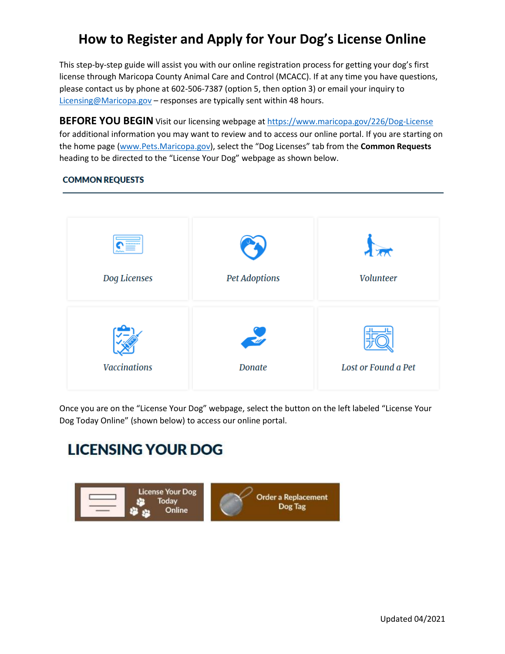## **How to Register and Apply for Your Dog's License Online**

This step-by-step guide will assist you with our online registration process for getting your dog's first license through Maricopa County Animal Care and Control (MCACC). If at any time you have questions, please contact us by phone at 602-506-7387 (option 5, then option 3) or email your inquiry to [Licensing@Maricopa.gov](mailto:Licensing@Maricopa.gov) – responses are typically sent within 48 hours.

**BEFORE YOU BEGIN** Visit our licensing webpage at<https://www.maricopa.gov/226/Dog-License> for additional information you may want to review and to access our online portal. If you are starting on the home page [\(www.Pets.Maricopa.gov](http://www.pets.maricopa.gov/)), select the "Dog Licenses" tab from the **Common Requests** heading to be directed to the "License Your Dog" webpage as shown below.

## **Volunteer** Dog Licenses **Pet Adoptions Vaccinations** Lost or Found a Pet **Donate**

## **COMMON REQUESTS**

Once you are on the "License Your Dog" webpage, select the button on the left labeled "License Your Dog Today Online" (shown below) to access our online portal.

## **LICENSING YOUR DOG**

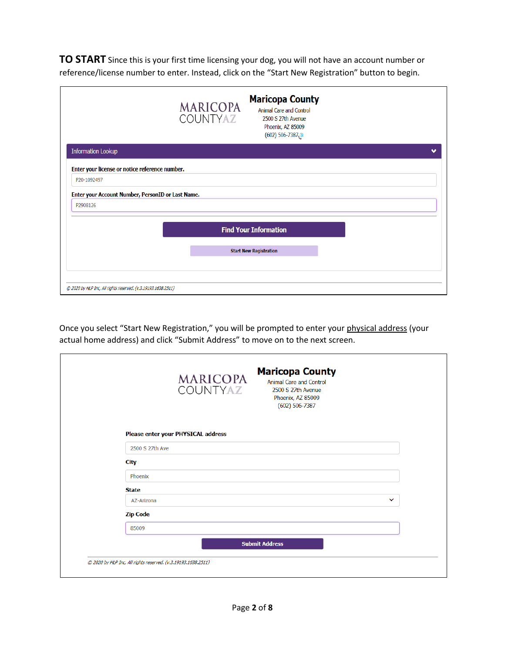**TO START** Since this is your first time licensing your dog, you will not have an account number or reference/license number to enter. Instead, click on the "Start New Registration" button to begin.

|                                                   | <b>Maricopa County</b><br><b>MARICOPA</b><br>Animal Care and Control<br><b>COUNTYAZ</b><br>2500 S 27th Avenue<br>Phoenix, AZ 85009<br>$(602)$ 506-7387.8 |  |
|---------------------------------------------------|----------------------------------------------------------------------------------------------------------------------------------------------------------|--|
| <b>Information Lookup</b>                         |                                                                                                                                                          |  |
| Enter your license or notice reference number.    |                                                                                                                                                          |  |
| P20-1092497                                       |                                                                                                                                                          |  |
| Enter your Account Number, PersonID or Last Name. |                                                                                                                                                          |  |
| P2908126                                          |                                                                                                                                                          |  |
|                                                   | <b>Find Your Information</b>                                                                                                                             |  |
|                                                   | <b>Start New Registration</b>                                                                                                                            |  |
|                                                   |                                                                                                                                                          |  |
|                                                   |                                                                                                                                                          |  |
|                                                   |                                                                                                                                                          |  |

Once you select "Start New Registration," you will be prompted to enter your physical address (your actual home address) and click "Submit Address" to move on to the next screen.

|                 | <b>MARICOPA</b><br>COUNTYAZ        | <b>Maricopa County</b><br><b>Animal Care and Control</b><br>2500 S 27th Avenue<br>Phoenix, AZ 85009<br>$(602)$ 506-7387 |              |
|-----------------|------------------------------------|-------------------------------------------------------------------------------------------------------------------------|--------------|
|                 | Please enter your PHYSICAL address |                                                                                                                         |              |
| 2500 S 27th Ave |                                    |                                                                                                                         |              |
| <b>City</b>     |                                    |                                                                                                                         |              |
| Phoenix         |                                    |                                                                                                                         |              |
| <b>State</b>    |                                    |                                                                                                                         |              |
| AZ-Arizona      |                                    |                                                                                                                         | $\checkmark$ |
| <b>Zip Code</b> |                                    |                                                                                                                         |              |
| 85009           |                                    |                                                                                                                         |              |
|                 |                                    | <b>Submit Address</b>                                                                                                   |              |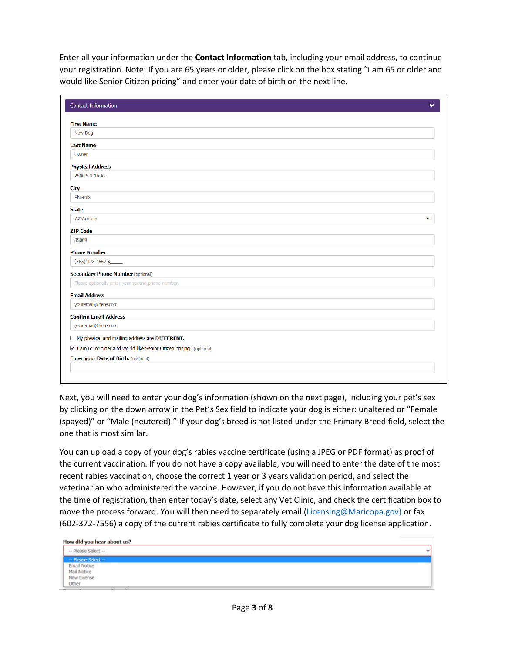Enter all your information under the **Contact Information** tab, including your email address, to continue your registration. Note: If you are 65 years or older, please click on the box stating "I am 65 or older and would like Senior Citizen pricing" and enter your date of birth on the next line.

| <b>First Name</b>                                                    |              |
|----------------------------------------------------------------------|--------------|
| New Dog                                                              |              |
| <b>Last Name</b>                                                     |              |
| Owner                                                                |              |
| <b>Physical Address</b>                                              |              |
| 2500 S 27th Ave                                                      |              |
| <b>City</b>                                                          |              |
| Phoenix                                                              |              |
| <b>State</b>                                                         |              |
| AZ-Arizona                                                           | $\checkmark$ |
| <b>ZIP Code</b>                                                      |              |
| 85009                                                                |              |
| <b>Phone Number</b>                                                  |              |
| (555) 123-4567 x_____                                                |              |
| <b>Secondary Phone Number (optional)</b>                             |              |
| Please optionally enter your second phone number.                    |              |
| <b>Email Address</b>                                                 |              |
| youremail@here.com                                                   |              |
| <b>Confirm Email Address</b>                                         |              |
| youremail@here.com                                                   |              |
| $\Box$ My physical and mailing address are DIFFERENT.                |              |
| ☑ I am 65 or older and would like Senior Citizen pricing. (optional) |              |
| <b>Enter your Date of Birth: (optional)</b>                          |              |

Next, you will need to enter your dog's information (shown on the next page), including your pet's sex by clicking on the down arrow in the Pet's Sex field to indicate your dog is either: unaltered or "Female (spayed)" or "Male (neutered)." If your dog's breed is not listed under the Primary Breed field, select the one that is most similar.

You can upload a copy of your dog's rabies vaccine certificate (using a JPEG or PDF format) as proof of the current vaccination. If you do not have a copy available, you will need to enter the date of the most recent rabies vaccination, choose the correct 1 year or 3 years validation period, and select the veterinarian who administered the vaccine. However, if you do not have this information available at the time of registration, then enter today's date, select any Vet Clinic, and check the certification box to move the process forward. You will then need to separately email [\(Licensing@Maricopa.gov\)](mailto:Licensing@Maricopa.gov) or fax (602-372-7556) a copy of the current rabies certificate to fully complete your dog license application.

| How did you hear about us? |              |
|----------------------------|--------------|
| -- Please Select --        | $\mathbf{v}$ |
| - Please Select --         |              |
| <b>Email Notice</b>        |              |
| Mail Notice                |              |
| New License                |              |
| Other                      |              |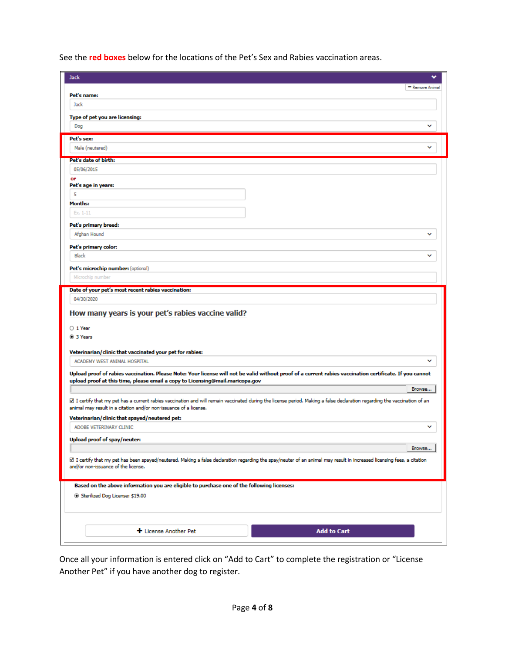See the **red boxes** below for the locations of the Pet's Sex and Rabies vaccination areas.

| <b>Jack</b>                                                                                                                                                                                                                                    |                 |
|------------------------------------------------------------------------------------------------------------------------------------------------------------------------------------------------------------------------------------------------|-----------------|
|                                                                                                                                                                                                                                                | - Remove Animal |
| Pet's name:                                                                                                                                                                                                                                    |                 |
| Jack                                                                                                                                                                                                                                           |                 |
|                                                                                                                                                                                                                                                |                 |
| Type of pet you are licensing:                                                                                                                                                                                                                 |                 |
| Dog                                                                                                                                                                                                                                            |                 |
| Pet's sex:                                                                                                                                                                                                                                     |                 |
| Male (neutered)                                                                                                                                                                                                                                |                 |
|                                                                                                                                                                                                                                                |                 |
| Pet's date of birth:                                                                                                                                                                                                                           |                 |
| 05/06/2015                                                                                                                                                                                                                                     |                 |
| or<br>Pet's age in years:                                                                                                                                                                                                                      |                 |
| 5                                                                                                                                                                                                                                              |                 |
|                                                                                                                                                                                                                                                |                 |
| <b>Months:</b>                                                                                                                                                                                                                                 |                 |
| Ex. 1-11                                                                                                                                                                                                                                       |                 |
| Pet's primary breed:                                                                                                                                                                                                                           |                 |
| Afghan Hound                                                                                                                                                                                                                                   | v               |
|                                                                                                                                                                                                                                                |                 |
| Pet's primary color:<br><b>Black</b>                                                                                                                                                                                                           | ◡               |
|                                                                                                                                                                                                                                                |                 |
| Pet's microchip number: (optional)                                                                                                                                                                                                             |                 |
| Microchip number                                                                                                                                                                                                                               |                 |
| Date of your pet's most recent rabies vaccination:                                                                                                                                                                                             |                 |
|                                                                                                                                                                                                                                                |                 |
| 04/30/2020<br>How many years is your pet's rabies vaccine valid?                                                                                                                                                                               |                 |
| O 1 Year<br><sup>3</sup> Years                                                                                                                                                                                                                 |                 |
| Veterinarian/clinic that vaccinated your pet for rabies:                                                                                                                                                                                       |                 |
| ACADEMY WEST ANIMAL HOSPITAL                                                                                                                                                                                                                   | ◡               |
| Upload proof of rabies vaccination. Please Note: Your license will not be valid without proof of a current rabies vaccination certificate. If you cannot                                                                                       |                 |
| upload proof at this time, please email a copy to Licensing@mail.maricopa.gov                                                                                                                                                                  |                 |
|                                                                                                                                                                                                                                                | Browse          |
| ⊠ I certify that my pet has a current rabies vaccination and will remain vaccinated during the license period. Making a false declaration regarding the vaccination of an<br>animal may result in a citation and/or non-issuance of a license. |                 |
| Veterinarian/clinic that spayed/neutered pet:                                                                                                                                                                                                  |                 |
| ADOBE VETERINARY CLINIC                                                                                                                                                                                                                        | ◡               |
|                                                                                                                                                                                                                                                |                 |
| Upload proof of spay/neuter:                                                                                                                                                                                                                   |                 |
|                                                                                                                                                                                                                                                | Browse          |
| ⊠ I certify that my pet has been spayed/neutered. Making a false declaration regarding the spay/neuter of an animal may result in increased licensing fees, a citation<br>and/or non-issuance of the license.                                  |                 |
|                                                                                                                                                                                                                                                |                 |
| Based on the above information you are eligible to purchase one of the following licenses:                                                                                                                                                     |                 |
| Sterilized Dog License: \$19.00                                                                                                                                                                                                                |                 |
|                                                                                                                                                                                                                                                |                 |
|                                                                                                                                                                                                                                                |                 |
| + License Another Pet<br><b>Add to Cart</b>                                                                                                                                                                                                    |                 |

Once all your information is entered click on "Add to Cart" to complete the registration or "License Another Pet" if you have another dog to register.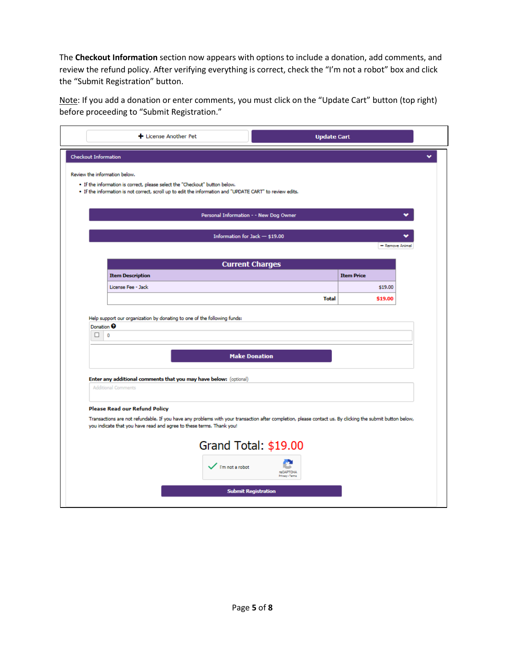The **Checkout Information** section now appears with options to include a donation, add comments, and review the refund policy. After verifying everything is correct, check the "I'm not a robot" box and click the "Submit Registration" button.

Note: If you add a donation or enter comments, you must click on the "Update Cart" button (top right) before proceeding to "Submit Registration."

|                                   | + License Another Pet                                                                                                                                                                                                             | <b>Update Cart</b>                     |                   |
|-----------------------------------|-----------------------------------------------------------------------------------------------------------------------------------------------------------------------------------------------------------------------------------|----------------------------------------|-------------------|
|                                   |                                                                                                                                                                                                                                   |                                        |                   |
| <b>Checkout Information</b>       |                                                                                                                                                                                                                                   |                                        |                   |
|                                   | Review the information below.                                                                                                                                                                                                     |                                        |                   |
|                                   | . If the information is correct, please select the "Checkout" button below.<br>. If the information is not correct, scroll up to edit the information and "UPDATE CART" to review edits.                                          |                                        |                   |
|                                   |                                                                                                                                                                                                                                   |                                        |                   |
|                                   |                                                                                                                                                                                                                                   | Personal Information - - New Dog Owner |                   |
|                                   |                                                                                                                                                                                                                                   |                                        |                   |
|                                   |                                                                                                                                                                                                                                   | Information for Jack - \$19.00         |                   |
|                                   |                                                                                                                                                                                                                                   |                                        | - Remove Animal   |
|                                   |                                                                                                                                                                                                                                   | <b>Current Charges</b>                 |                   |
|                                   | <b>Item Description</b>                                                                                                                                                                                                           |                                        | <b>Item Price</b> |
|                                   | License Fee - Jack                                                                                                                                                                                                                |                                        | \$19.00           |
|                                   |                                                                                                                                                                                                                                   | <b>Total</b>                           | \$19.00           |
|                                   | Help support our organization by donating to one of the following funds:                                                                                                                                                          |                                        |                   |
| Donation <sup>O</sup><br>$\Box$ 0 |                                                                                                                                                                                                                                   |                                        |                   |
|                                   |                                                                                                                                                                                                                                   |                                        |                   |
|                                   |                                                                                                                                                                                                                                   | <b>Make Donation</b>                   |                   |
|                                   |                                                                                                                                                                                                                                   |                                        |                   |
|                                   | Enter any additional comments that you may have below: (optional)<br><b>Additional Comments</b>                                                                                                                                   |                                        |                   |
|                                   |                                                                                                                                                                                                                                   |                                        |                   |
|                                   | <b>Please Read our Refund Policy</b>                                                                                                                                                                                              |                                        |                   |
|                                   | Transactions are not refundable. If you have any problems with your transaction after completion, please contact us. By clicking the submit button below,<br>you indicate that you have read and agree to these terms. Thank you! |                                        |                   |
|                                   |                                                                                                                                                                                                                                   |                                        |                   |
|                                   |                                                                                                                                                                                                                                   | Grand Total: \$19.00                   |                   |
|                                   |                                                                                                                                                                                                                                   |                                        |                   |
|                                   | $\sqrt{\ }$ I'm not a robot                                                                                                                                                                                                       | <b>RECAPTOHA</b><br>Privacy - Terma    |                   |
|                                   |                                                                                                                                                                                                                                   |                                        |                   |
|                                   |                                                                                                                                                                                                                                   | <b>Submit Registration</b>             |                   |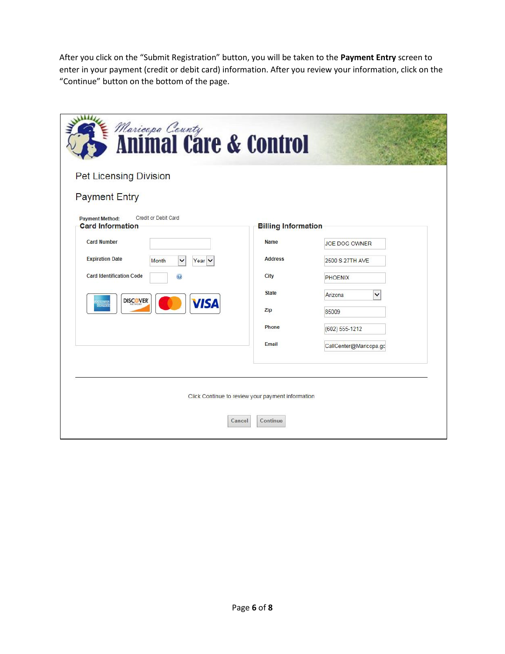After you click on the "Submit Registration" button, you will be taken to the **Payment Entry** screen to enter in your payment (credit or debit card) information. After you review your information, click on the "Continue" button on the bottom of the page.

| <i>Mariespa County</i><br><b>Animal Care &amp; Control</b>                |                                                   |                        |
|---------------------------------------------------------------------------|---------------------------------------------------|------------------------|
| <b>Pet Licensing Division</b>                                             |                                                   |                        |
| <b>Payment Entry</b>                                                      |                                                   |                        |
| Credit or Debit Card<br><b>Payment Method:</b><br><b>Card Information</b> | <b>Billing Information</b>                        |                        |
| <b>Card Number</b>                                                        | <b>Name</b>                                       | <b>JOE DOG OWNER</b>   |
| <b>Expiration Date</b><br>$\checkmark$<br>Year $\vee$<br>Month            | <b>Address</b>                                    | 2500 S 27TH AVE        |
| <b>Card Identification Code</b><br>$\mathbf{C}$                           | City                                              | <b>PHOENIX</b>         |
| <b>DISCOVER</b>                                                           | <b>State</b>                                      | <b>Arizona</b><br>◡    |
| <b>VISA</b><br>Million<br>Iomraidh                                        | Zip                                               | 85009                  |
|                                                                           | Phone                                             | (602) 555-1212         |
|                                                                           | Email                                             | CallCenter@Maricopa.gc |
|                                                                           |                                                   |                        |
|                                                                           |                                                   |                        |
|                                                                           | Click Continue to review your payment information |                        |
| Cancel                                                                    | Continue                                          |                        |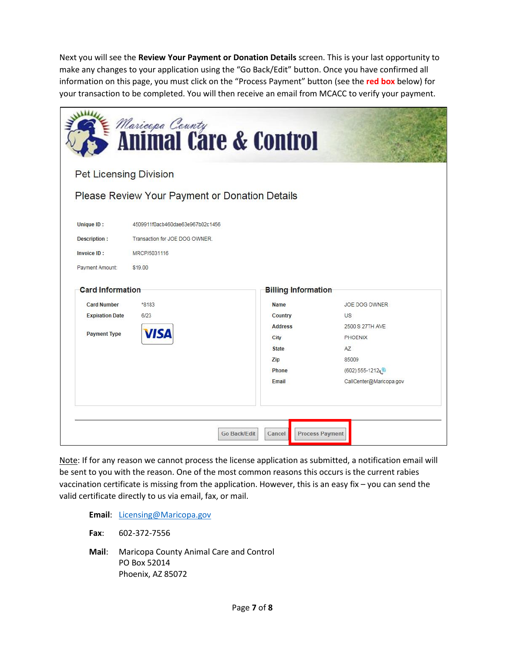Next you will see the **Review Your Payment or Donation Details** screen. This is your last opportunity to make any changes to your application using the "Go Back/Edit" button. Once you have confirmed all information on this page, you must click on the "Process Payment" button (see the **red box** below) for your transaction to be completed. You will then receive an email from MCACC to verify your payment.

|                                                                            |                                                                                               | <i>Mariespa County</i><br><b>Animal Care &amp; Control</b> |                                                         |
|----------------------------------------------------------------------------|-----------------------------------------------------------------------------------------------|------------------------------------------------------------|---------------------------------------------------------|
| <b>Pet Licensing Division</b>                                              |                                                                                               |                                                            |                                                         |
|                                                                            | Please Review Your Payment or Donation Details                                                |                                                            |                                                         |
| <b>Unique ID:</b><br><b>Description:</b><br>Invoice ID:<br>Payment Amount: | 4509911f0acb460dae63e967b02c1456<br>Transaction for JOE DOG OWNER.<br>MRCP/5031116<br>\$19.00 |                                                            |                                                         |
| <b>Card Information</b>                                                    |                                                                                               | <b>Billing Information</b>                                 |                                                         |
| <b>Card Number</b>                                                         | *8183                                                                                         | Name                                                       | <b>JOE DOG OWNER</b>                                    |
| <b>Expiration Date</b>                                                     | 6/23                                                                                          | Country                                                    | US                                                      |
| <b>Payment Type</b>                                                        | <b>VISA</b>                                                                                   | <b>Address</b>                                             | 2500 S 27TH AVE                                         |
|                                                                            |                                                                                               | City                                                       | PHOENIX                                                 |
|                                                                            |                                                                                               | <b>State</b>                                               | AZ                                                      |
|                                                                            |                                                                                               | Zip                                                        | 85009                                                   |
|                                                                            |                                                                                               | Phone<br>Email                                             | (602) 555-1212. <sup>3</sup><br>CallCenter@Maricopa.gov |
|                                                                            |                                                                                               |                                                            |                                                         |
|                                                                            |                                                                                               |                                                            |                                                         |
|                                                                            |                                                                                               |                                                            |                                                         |

Note: If for any reason we cannot process the license application as submitted, a notification email will be sent to you with the reason. One of the most common reasons this occurs is the current rabies vaccination certificate is missing from the application. However, this is an easy fix – you can send the valid certificate directly to us via email, fax, or mail.

**Email**: [Licensing@Maricopa.gov](mailto:Licensing@Maricopa.gov)

**Fax**: 602-372-7556

**Mail**: Maricopa County Animal Care and Control PO Box 52014 Phoenix, AZ 85072